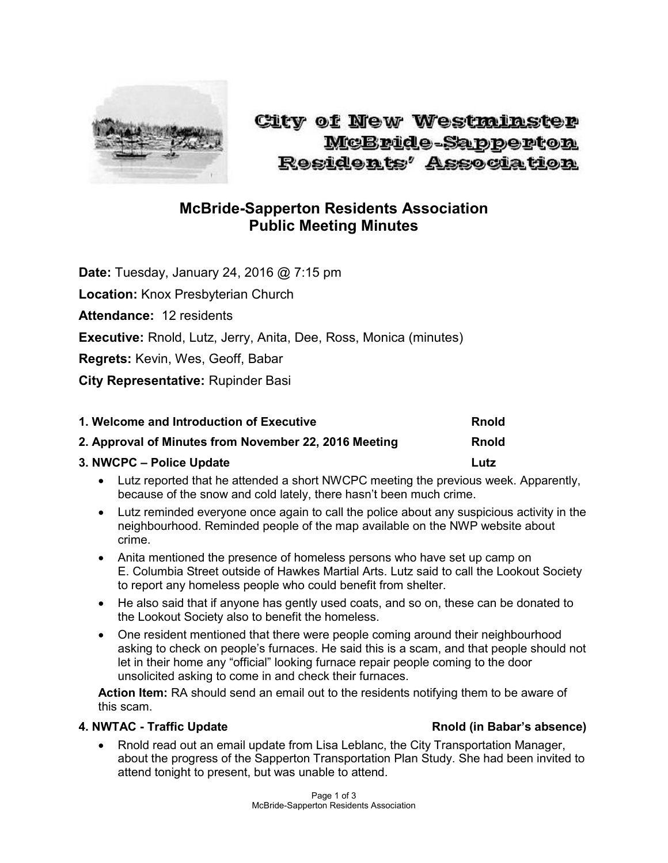

# City of New Westminster McBride-Sapperton **Residents' Association**

## **McBride-Sapperton Residents Association Public Meeting Minutes**

**Date:** Tuesday, January 24, 2016 @ 7:15 pm

**Location:** Knox Presbyterian Church

**Attendance:** 12 residents

**Executive:** Rnold, Lutz, Jerry, Anita, Dee, Ross, Monica (minutes)

**Regrets:** Kevin, Wes, Geoff, Babar

**City Representative:** Rupinder Basi

| 1. Welcome and Introduction of Executive                                                                        | <b>Rnold</b> |
|-----------------------------------------------------------------------------------------------------------------|--------------|
| 2. Approval of Minutes from November 22, 2016 Meeting                                                           | <b>Rnold</b> |
| 3. NWCPC – Police Update                                                                                        | Lutz         |
| Let the contract the left because the collection of ABALODO contract the concentration of the collection of the |              |

- Lutz reported that he attended a short NWCPC meeting the previous week. Apparently, because of the snow and cold lately, there hasn't been much crime.
- Lutz reminded everyone once again to call the police about any suspicious activity in the neighbourhood. Reminded people of the map available on the NWP website about crime.
- Anita mentioned the presence of homeless persons who have set up camp on E. Columbia Street outside of Hawkes Martial Arts. Lutz said to call the Lookout Society to report any homeless people who could benefit from shelter.
- He also said that if anyone has gently used coats, and so on, these can be donated to the Lookout Society also to benefit the homeless.
- One resident mentioned that there were people coming around their neighbourhood asking to check on people's furnaces. He said this is a scam, and that people should not let in their home any "official" looking furnace repair people coming to the door unsolicited asking to come in and check their furnaces.

**Action Item:** RA should send an email out to the residents notifying them to be aware of this scam.

### **4. NWTAC - Traffic Update Rnold (in Babar's absence)**

 Rnold read out an email update from Lisa Leblanc, the City Transportation Manager, about the progress of the Sapperton Transportation Plan Study. She had been invited to attend tonight to present, but was unable to attend.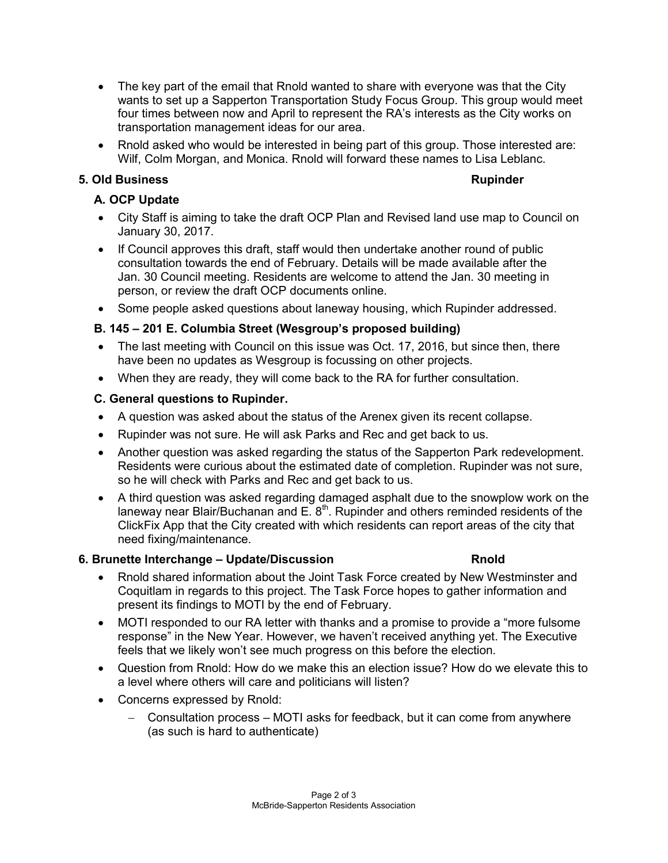- The key part of the email that Rnold wanted to share with everyone was that the City wants to set up a Sapperton Transportation Study Focus Group. This group would meet four times between now and April to represent the RA's interests as the City works on transportation management ideas for our area.
- Rnold asked who would be interested in being part of this group. Those interested are: Wilf, Colm Morgan, and Monica. Rnold will forward these names to Lisa Leblanc.

### **5. Old Business Rupinder**

#### **A. OCP Update**

- City Staff is aiming to take the draft OCP Plan and Revised land use map to Council on January 30, 2017.
- If Council approves this draft, staff would then undertake another round of public consultation towards the end of February. Details will be made available after the Jan. 30 Council meeting. Residents are welcome to attend the Jan. 30 meeting in person, or review the draft OCP documents online.
- Some people asked questions about laneway housing, which Rupinder addressed.

### **B. 145 – 201 E. Columbia Street (Wesgroup's proposed building)**

- The last meeting with Council on this issue was Oct. 17, 2016, but since then, there have been no updates as Wesgroup is focussing on other projects.
- When they are ready, they will come back to the RA for further consultation.

### **C. General questions to Rupinder.**

- A question was asked about the status of the Arenex given its recent collapse.
- Rupinder was not sure. He will ask Parks and Rec and get back to us.
- Another question was asked regarding the status of the Sapperton Park redevelopment. Residents were curious about the estimated date of completion. Rupinder was not sure, so he will check with Parks and Rec and get back to us.
- A third question was asked regarding damaged asphalt due to the snowplow work on the laneway near Blair/Buchanan and E. 8<sup>th</sup>. Rupinder and others reminded residents of the ClickFix App that the City created with which residents can report areas of the city that need fixing/maintenance.

#### **6. Brunette Interchange – Update/Discussion Rnold**

- Rnold shared information about the Joint Task Force created by New Westminster and Coquitlam in regards to this project. The Task Force hopes to gather information and present its findings to MOTI by the end of February.
- MOTI responded to our RA letter with thanks and a promise to provide a "more fulsome response" in the New Year. However, we haven't received anything yet. The Executive feels that we likely won't see much progress on this before the election.
- Question from Rnold: How do we make this an election issue? How do we elevate this to a level where others will care and politicians will listen?
- Concerns expressed by Rnold:
	- Consultation process MOTI asks for feedback, but it can come from anywhere (as such is hard to authenticate)